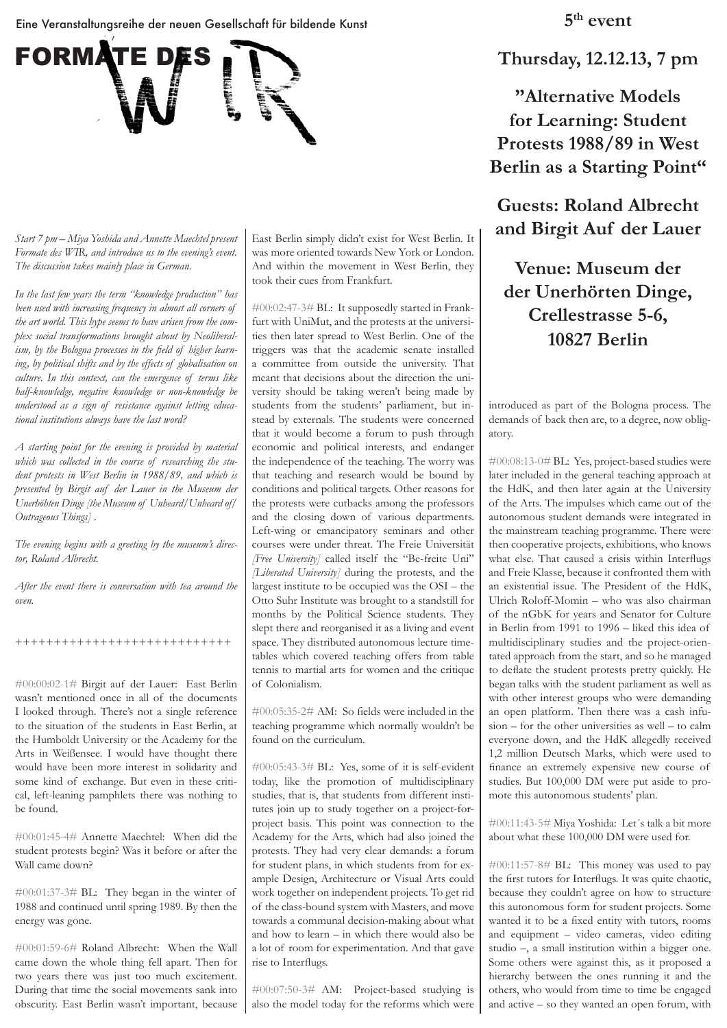Eine Veranstaltungsreihe der neuen Gesellschaft für bildende Kunst



*Start 7 pm – Miya Yoshida and Annette Maechtel present Formate des WIR, and introduce us to the evening's event. The discussion takes mainly place in German.* 

*In the last few years the term "knowledge production" has been used with increasing frequency in almost all corners of the art world. This hype seems to have arisen from the complex social transformations brought about by Neoliberalism, by the Bologna processes in the field of higher learning, by political shifts and by the effects of globalisation on culture. In this context, can the emergence of terms like half-knowledge, negative knowledge or non-knowledge be understood as a sign of resistance against letting educational institutions always have the last word?*

*A starting point for the evening is provided by material which was collected in the course of researching the student protests in West Berlin in 1988/89, and which is presented by Birgit auf der Lauer in the Museum der Unerhöhten Dinge [the Museum of Unheard/Unheard of/ Outrageous Things] .*

*The evening begins with a greeting by the museum's director, Roland Albrecht.* 

*After the event there is conversation with tea around the oven.*

### ++++++++++++++++++++++++++++

#00:00:02-1# Birgit auf der Lauer: East Berlin wasn't mentioned once in all of the documents I looked through. There's not a single reference to the situation of the students in East Berlin, at the Humboldt University or the Academy for the Arts in Weißensee. I would have thought there would have been more interest in solidarity and some kind of exchange. But even in these critical, left-leaning pamphlets there was nothing to be found.

#00:01:45-4# Annette Maechtel: When did the student protests begin? Was it before or after the Wall came down?

#00:01:37-3# BL: They began in the winter of 1988 and continued until spring 1989. By then the energy was gone.

#00:01:59-6# Roland Albrecht: When the Wall came down the whole thing fell apart. Then for two years there was just too much excitement. During that time the social movements sank into obscurity. East Berlin wasn't important, because East Berlin simply didn't exist for West Berlin. It was more oriented towards New York or London. And within the movement in West Berlin, they took their cues from Frankfurt.

#00:02:47-3# BL: It supposedly started in Frankfurt with UniMut, and the protests at the universities then later spread to West Berlin. One of the triggers was that the academic senate installed a committee from outside the university. That meant that decisions about the direction the university should be taking weren't being made by students from the students' parliament, but instead by externals. The students were concerned that it would become a forum to push through economic and political interests, and endanger the independence of the teaching. The worry was that teaching and research would be bound by conditions and political targets. Other reasons for the protests were cutbacks among the professors and the closing down of various departments. Left-wing or emancipatory seminars and other courses were under threat. The Freie Universität *[Free University]* called itself the "Be-freite Uni" *[Liberated University]* during the protests, and the largest institute to be occupied was the OSI – the Otto Suhr Institute was brought to a standstill for months by the Political Science students. They slept there and reorganised it as a living and event space. They distributed autonomous lecture timetables which covered teaching offers from table tennis to martial arts for women and the critique of Colonialism.

#00:05:35-2# AM: So fields were included in the teaching programme which normally wouldn't be found on the curriculum.

#00:05:43-3# BL: Yes, some of it is self-evident today, like the promotion of multidisciplinary studies, that is, that students from different institutes join up to study together on a project-forproject basis. This point was connection to the Academy for the Arts, which had also joined the protests. They had very clear demands: a forum for student plans, in which students from for example Design, Architecture or Visual Arts could work together on independent projects. To get rid of the class-bound system with Masters, and move towards a communal decision-making about what and how to learn – in which there would also be a lot of room for experimentation. And that gave rise to Interflugs.

#00:07:50-3# AM: Project-based studying is also the model today for the reforms which were **5th event**

**Thursday, 12.12.13, 7 pm**

**"Alternative Models for Learning: Student Protests 1988/89 in West Berlin as a Starting Point"**

**Guests: Roland Albrecht and Birgit Auf der Lauer**

**Venue: Museum der der Unerhörten Dinge, Crellestrasse 5-6, 10827 Berlin**

introduced as part of the Bologna process. The demands of back then are, to a degree, now obligatory.

#00:08:13-0# BL: Yes, project-based studies were later included in the general teaching approach at the HdK, and then later again at the University of the Arts. The impulses which came out of the autonomous student demands were integrated in the mainstream teaching programme. There were then cooperative projects, exhibitions, who knows what else. That caused a crisis within Interflugs and Freie Klasse, because it confronted them with an existential issue. The President of the HdK, Ulrich Roloff-Momin – who was also chairman of the nGbK for years and Senator for Culture in Berlin from 1991 to 1996 – liked this idea of multidisciplinary studies and the project-orientated approach from the start, and so he managed to deflate the student protests pretty quickly. He began talks with the student parliament as well as with other interest groups who were demanding an open platform. Then there was a cash infusion – for the other universities as well – to calm everyone down, and the HdK allegedly received 1,2 million Deutsch Marks, which were used to finance an extremely expensive new course of studies. But 100,000 DM were put aside to promote this autonomous students' plan.

#00:11:43-5# Miya Yoshida: Let´s talk a bit more about what these 100,000 DM were used for.

#00:11:57-8# BL: This money was used to pay the first tutors for Interflugs. It was quite chaotic, because they couldn't agree on how to structure this autonomous form for student projects. Some wanted it to be a fixed entity with tutors, rooms and equipment – video cameras, video editing studio –, a small institution within a bigger one. Some others were against this, as it proposed a hierarchy between the ones running it and the others, who would from time to time be engaged and active – so they wanted an open forum, with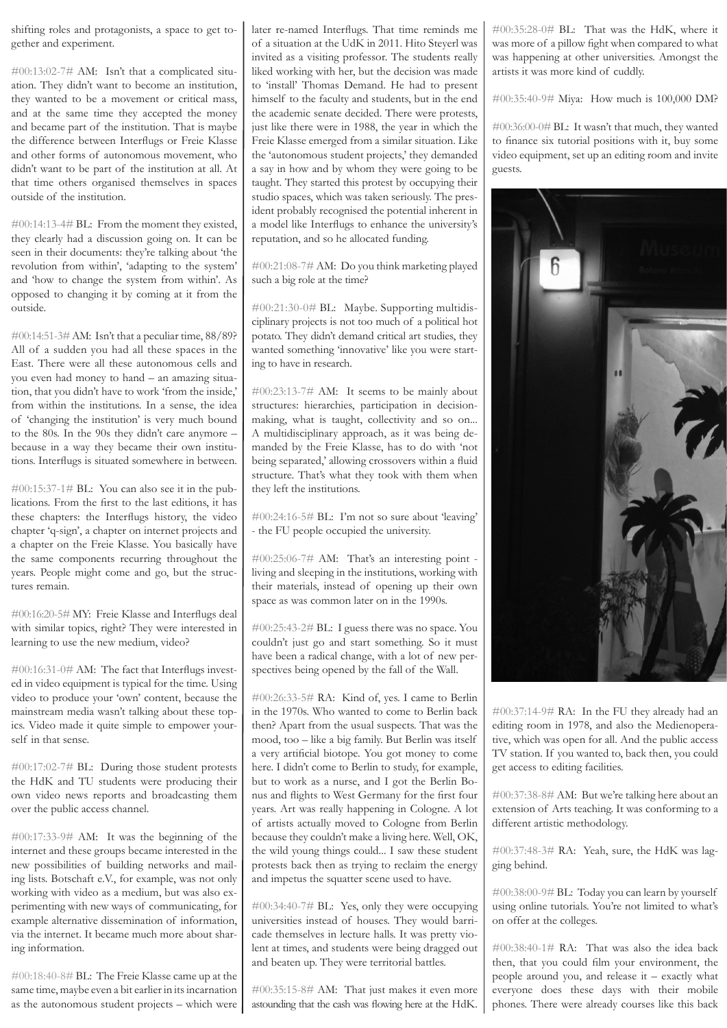shifting roles and protagonists, a space to get together and experiment.

#00:13:02-7# AM: Isn't that a complicated situation. They didn't want to become an institution, they wanted to be a movement or critical mass, and at the same time they accepted the money and became part of the institution. That is maybe the difference between Interflugs or Freie Klasse and other forms of autonomous movement, who didn't want to be part of the institution at all. At that time others organised themselves in spaces outside of the institution.

#00:14:13-4# BL: From the moment they existed, they clearly had a discussion going on. It can be seen in their documents: they're talking about 'the revolution from within', 'adapting to the system' and 'how to change the system from within'. As opposed to changing it by coming at it from the outside.

#00:14:51-3# AM: Isn't that a peculiar time, 88/89? All of a sudden you had all these spaces in the East. There were all these autonomous cells and you even had money to hand – an amazing situation, that you didn't have to work 'from the inside,' from within the institutions. In a sense, the idea of 'changing the institution' is very much bound to the 80s. In the 90s they didn't care anymore – because in a way they became their own institutions. Interflugs is situated somewhere in between.

 $\text{\#}00:15:37-1\text{\#}$  BL: You can also see it in the publications. From the first to the last editions, it has these chapters: the Interflugs history, the video chapter 'q-sign', a chapter on internet projects and a chapter on the Freie Klasse. You basically have the same components recurring throughout the years. People might come and go, but the structures remain.

#00:16:20-5# MY: Freie Klasse and Interflugs deal with similar topics, right? They were interested in learning to use the new medium, video?

#00:16:31-0# AM: The fact that Interflugs invested in video equipment is typical for the time. Using video to produce your 'own' content, because the mainstream media wasn't talking about these topics. Video made it quite simple to empower yourself in that sense.

#00:17:02-7# BL: During those student protests the HdK and TU students were producing their own video news reports and broadcasting them over the public access channel.

#00:17:33-9# AM: It was the beginning of the internet and these groups became interested in the new possibilities of building networks and mailing lists. Botschaft e.V., for example, was not only working with video as a medium, but was also experimenting with new ways of communicating, for example alternative dissemination of information, via the internet. It became much more about sharing information.

#00:18:40-8# BL: The Freie Klasse came up at the same time, maybe even a bit earlier in its incarnation as the autonomous student projects – which were later re-named Interflugs. That time reminds me of a situation at the UdK in 2011. Hito Steyerl was invited as a visiting professor. The students really liked working with her, but the decision was made to 'install' Thomas Demand. He had to present himself to the faculty and students, but in the end the academic senate decided. There were protests, just like there were in 1988, the year in which the Freie Klasse emerged from a similar situation. Like the 'autonomous student projects,' they demanded a say in how and by whom they were going to be taught. They started this protest by occupying their studio spaces, which was taken seriously. The president probably recognised the potential inherent in a model like Interflugs to enhance the university's reputation, and so he allocated funding.

#00:21:08-7# AM: Do you think marketing played such a big role at the time?

#00:21:30-0# BL: Maybe. Supporting multidisciplinary projects is not too much of a political hot potato. They didn't demand critical art studies, they wanted something 'innovative' like you were starting to have in research.

#00:23:13-7# AM: It seems to be mainly about structures: hierarchies, participation in decisionmaking, what is taught, collectivity and so on... A multidisciplinary approach, as it was being demanded by the Freie Klasse, has to do with 'not being separated,' allowing crossovers within a fluid structure. That's what they took with them when they left the institutions.

#00:24:16-5# BL: I'm not so sure about 'leaving' - the FU people occupied the university.

 $\#00:25:06-7\#$  AM: That's an interesting point living and sleeping in the institutions, working with their materials, instead of opening up their own space as was common later on in the 1990s.

#00:25:43-2# BL: I guess there was no space. You couldn't just go and start something. So it must have been a radical change, with a lot of new perspectives being opened by the fall of the Wall.

#00:26:33-5# RA: Kind of, yes. I came to Berlin in the 1970s. Who wanted to come to Berlin back then? Apart from the usual suspects. That was the mood, too – like a big family. But Berlin was itself a very artificial biotope. You got money to come here. I didn't come to Berlin to study, for example, but to work as a nurse, and I got the Berlin Bonus and flights to West Germany for the first four years. Art was really happening in Cologne. A lot of artists actually moved to Cologne from Berlin because they couldn't make a living here. Well, OK, the wild young things could... I saw these student protests back then as trying to reclaim the energy and impetus the squatter scene used to have.

#00:34:40-7# BL: Yes, only they were occupying universities instead of houses. They would barricade themselves in lecture halls. It was pretty violent at times, and students were being dragged out and beaten up. They were territorial battles.

#00:35:15-8# AM: That just makes it even more astounding that the cash was flowing here at the HdK. #00:35:28-0# BL: That was the HdK, where it was more of a pillow fight when compared to what was happening at other universities. Amongst the artists it was more kind of cuddly.

#00:35:40-9# Miya: How much is 100,000 DM?

#00:36:00-0# BL: It wasn't that much, they wanted to finance six tutorial positions with it, buy some video equipment, set up an editing room and invite guests.



#00:37:14-9# RA: In the FU they already had an editing room in 1978, and also the Medienoperative, which was open for all. And the public access TV station. If you wanted to, back then, you could get access to editing facilities.

#00:37:38-8# AM: But we're talking here about an extension of Arts teaching. It was conforming to a different artistic methodology.

#00:37:48-3# RA: Yeah, sure, the HdK was lagging behind.

#00:38:00-9# BL: Today you can learn by yourself using online tutorials. You're not limited to what's on offer at the colleges.

#00:38:40-1# RA: That was also the idea back then, that you could film your environment, the people around you, and release it – exactly what everyone does these days with their mobile phones. There were already courses like this back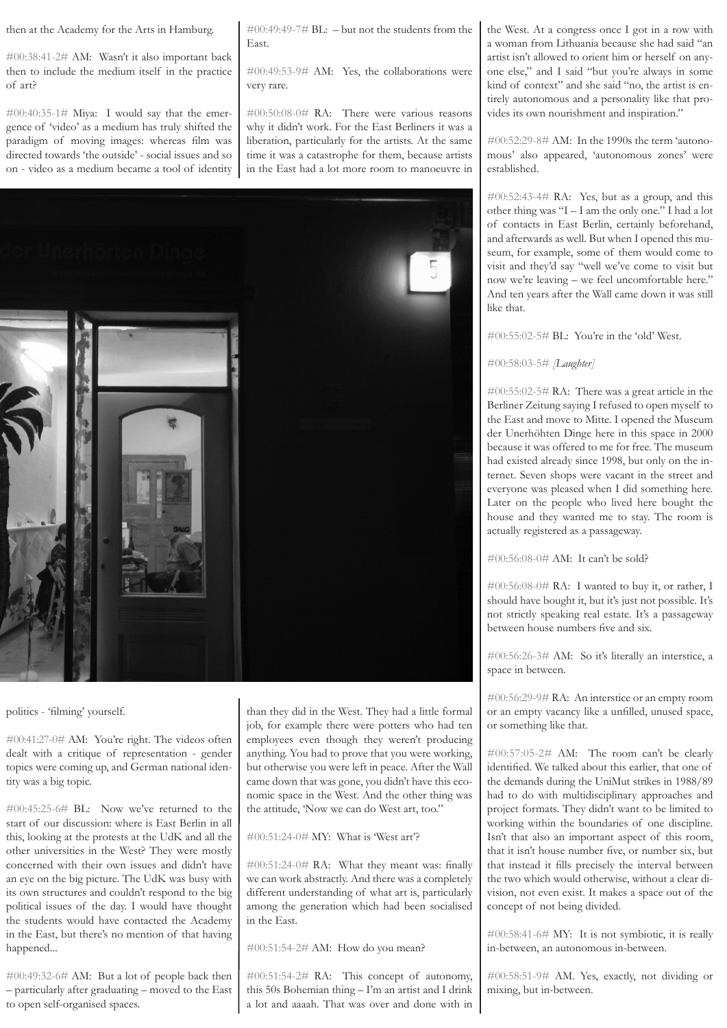then at the Academy for the Arts in Hamburg.

#00:38:41-2# AM: Wasn't it also important back then to include the medium itself in the practice of art?

#00:40:35-1# Miya: I would say that the emergence of 'video' as a medium has truly shifted the paradigm of moving images: whereas film was directed towards 'the outside' - social issues and so on - video as a medium became a tool of identity  $\text{\#}00:49:49-7\text{\# BL: -}$  but not the students from the East.

#00:49:53-9# AM: Yes, the collaborations were very rare.

#00:50:08-0# RA: There were various reasons why it didn't work. For the East Berliners it was a liberation, particularly for the artists. At the same time it was a catastrophe for them, because artists in the East had a lot more room to manoeuvre in



politics - 'filming' yourself.

#00:41:27-0# AM: You're right. The videos often dealt with a critique of representation - gender topics were coming up, and German national identity was a big topic.

#00:45:25-6# BL: Now we've returned to the start of our discussion: where is East Berlin in all this, looking at the protests at the UdK and all the other universities in the West? They were mostly concerned with their own issues and didn't have an eye on the big picture. The UdK was busy with its own structures and couldn't respond to the big political issues of the day. I would have thought the students would have contacted the Academy in the East, but there's no mention of that having happened...

#00:49:32-6# AM: But a lot of people back then – particularly after graduating – moved to the East to open self-organised spaces.

than they did in the West. They had a little formal job, for example there were potters who had ten employees even though they weren't producing anything. You had to prove that you were working, but otherwise you were left in peace. After the Wall came down that was gone, you didn't have this economic space in the West. And the other thing was the attitude, 'Now we can do West art, too."

# #00:51:24-0# MY: What is 'West art'?

#00:51:24-0# RA: What they meant was: finally we can work abstractly. And there was a completely different understanding of what art is, particularly among the generation which had been socialised in the East.

#00:51:54-2# AM: How do you mean?

 $\#00:51:54-2\#$  RA: This concept of autonomy, this 50s Bohemian thing – I'm an artist and I drink a lot and aaaah. That was over and done with in

the West. At a congress once I got in a row with a woman from Lithuania because she had said "an artist isn't allowed to orient him or herself on anyone else," and I said "but you're always in some kind of context" and she said "no, the artist is entirely autonomous and a personality like that provides its own nourishment and inspiration."

#00:52:29-8# AM: In the 1990s the term 'autonomous' also appeared, 'autonomous zones' were established.

#00:52:43-4# RA: Yes, but as a group, and this other thing was "I – I am the only one." I had a lot of contacts in East Berlin, certainly beforehand, and afterwards as well. But when I opened this museum, for example, some of them would come to visit and they'd say "well we've come to visit but now we're leaving – we feel uncomfortable here." And ten years after the Wall came down it was still like that.

#00:55:02-5# BL: You're in the 'old' West.

### #00:58:03-5# *[Laughter]*

#00:55:02-5# RA: There was a great article in the Berliner Zeitung saying I refused to open myself to the East and move to Mitte. I opened the Museum der Unerhöhten Dinge here in this space in 2000 because it was offered to me for free. The museum had existed already since 1998, but only on the internet. Seven shops were vacant in the street and everyone was pleased when I did something here. Later on the people who lived here bought the house and they wanted me to stay. The room is actually registered as a passageway.

#00:56:08-0# AM: It can't be sold?

#00:56:08-0# RA: I wanted to buy it, or rather, I should have bought it, but it's just not possible. It's not strictly speaking real estate. It's a passageway between house numbers five and six.

#00:56:26-3# AM: So it's literally an interstice, a space in between.

#00:56:29-9# RA: An interstice or an empty room or an empty vacancy like a unfilled, unused space, or something like that.

#00:57:05-2# AM: The room can't be clearly identified. We talked about this earlier, that one of the demands during the UniMut strikes in 1988/89 had to do with multidisciplinary approaches and project formats. They didn't want to be limited to working within the boundaries of one discipline. Isn't that also an important aspect of this room, that it isn't house number five, or number six, but that instead it fills precisely the interval between the two which would otherwise, without a clear division, not even exist. It makes a space out of the concept of not being divided.

#00:58:41-6# MY: It is not symbiotic, it is really in-between, an autonomous in-between.

#00:58:51-9# AM. Yes, exactly, not dividing or mixing, but in-between.